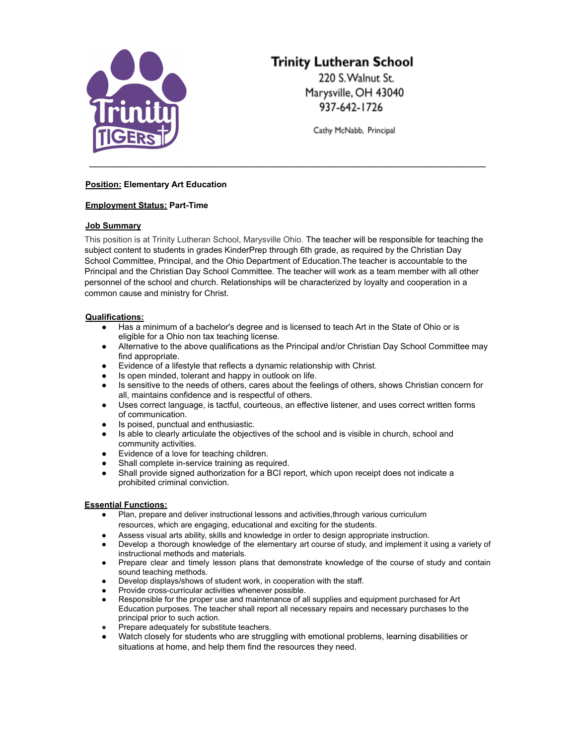

# **Trinity Lutheran School**

220 S. Walnut St. Marysville, OH 43040 937-642-1726

Cathy McNabb, Principal

# **Position: Elementary Art Education**

# **Employment Status: Part-Time**

## **Job Summary**

This position is at Trinity Lutheran School, Marysville Ohio. The teacher will be responsible for teaching the subject content to students in grades KinderPrep through 6th grade, as required by the Christian Day School Committee, Principal, and the Ohio Department of Education.The teacher is accountable to the Principal and the Christian Day School Committee. The teacher will work as a team member with all other personnel of the school and church. Relationships will be characterized by loyalty and cooperation in a common cause and ministry for Christ.

\_\_\_\_\_\_\_\_\_\_\_\_\_\_\_\_\_\_\_\_\_\_\_\_\_\_\_\_\_\_\_\_\_\_\_\_\_\_\_\_\_\_\_\_\_\_\_\_\_\_\_\_\_\_\_\_\_\_\_\_\_\_\_\_\_\_\_\_\_\_\_\_\_\_\_\_\_

## **Qualifications:**

- Has a minimum of a bachelor's degree and is licensed to teach Art in the State of Ohio or is eligible for a Ohio non tax teaching license.
- Alternative to the above qualifications as the Principal and/or Christian Day School Committee may find appropriate.
- Evidence of a lifestyle that reflects a dynamic relationship with Christ.
- Is open minded, tolerant and happy in outlook on life.
- Is sensitive to the needs of others, cares about the feelings of others, shows Christian concern for all, maintains confidence and is respectful of others.
- Uses correct language, is tactful, courteous, an effective listener, and uses correct written forms of communication.
- Is poised, punctual and enthusiastic.
- Is able to clearly articulate the objectives of the school and is visible in church, school and community activities.
- Evidence of a love for teaching children.
- Shall complete in-service training as required.
- Shall provide signed authorization for a BCI report, which upon receipt does not indicate a prohibited criminal conviction.

# **Essential Functions:**

- Plan, prepare and deliver instructional lessons and activities, through various curriculum resources, which are engaging, educational and exciting for the students.
- Assess visual arts ability, skills and knowledge in order to design appropriate instruction.
- Develop a thorough knowledge of the elementary art course of study, and implement it using a variety of instructional methods and materials.
- Prepare clear and timely lesson plans that demonstrate knowledge of the course of study and contain sound teaching methods.
- Develop displays/shows of student work, in cooperation with the staff.
- Provide cross-curricular activities whenever possible.
- Responsible for the proper use and maintenance of all supplies and equipment purchased for Art Education purposes. The teacher shall report all necessary repairs and necessary purchases to the principal prior to such action.
- Prepare adequately for substitute teachers.
- Watch closely for students who are struggling with emotional problems, learning disabilities or situations at home, and help them find the resources they need.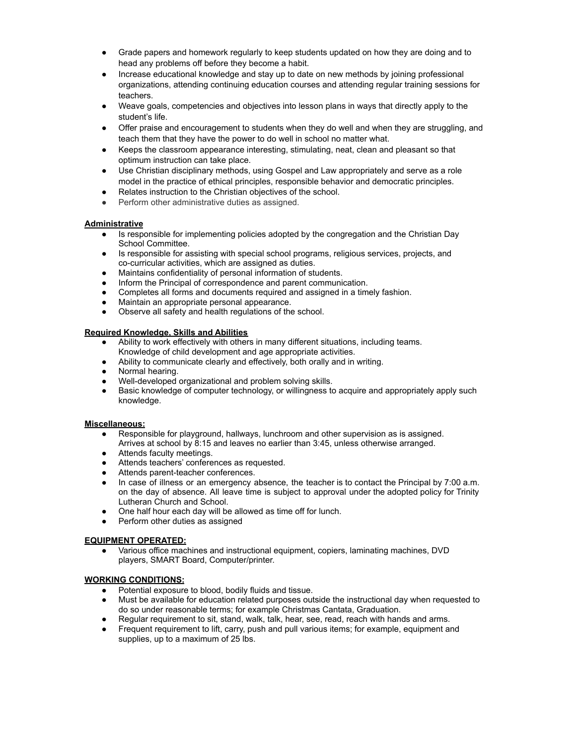- Grade papers and homework regularly to keep students updated on how they are doing and to head any problems off before they become a habit.
- Increase educational knowledge and stay up to date on new methods by joining professional organizations, attending continuing education courses and attending regular training sessions for teachers.
- Weave goals, competencies and objectives into lesson plans in ways that directly apply to the student's life.
- Offer praise and encouragement to students when they do well and when they are struggling, and teach them that they have the power to do well in school no matter what.
- Keeps the classroom appearance interesting, stimulating, neat, clean and pleasant so that optimum instruction can take place.
- Use Christian disciplinary methods, using Gospel and Law appropriately and serve as a role model in the practice of ethical principles, responsible behavior and democratic principles.
- Relates instruction to the Christian objectives of the school.
- Perform other administrative duties as assigned.

## **Administrative**

- Is responsible for implementing policies adopted by the congregation and the Christian Day School Committee.
- Is responsible for assisting with special school programs, religious services, projects, and co-curricular activities, which are assigned as duties.
- Maintains confidentiality of personal information of students.
- Inform the Principal of correspondence and parent communication.
- Completes all forms and documents required and assigned in a timely fashion.
- Maintain an appropriate personal appearance.
- Observe all safety and health regulations of the school.

#### **Required Knowledge, Skills and Abilities**

- Ability to work effectively with others in many different situations, including teams. Knowledge of child development and age appropriate activities.
- Ability to communicate clearly and effectively, both orally and in writing.
- Normal hearing.
- Well-developed organizational and problem solving skills.
- Basic knowledge of computer technology, or willingness to acquire and appropriately apply such knowledge.

#### **Miscellaneous:**

- Responsible for playground, hallways, lunchroom and other supervision as is assigned. Arrives at school by 8:15 and leaves no earlier than 3:45, unless otherwise arranged.
- Attends faculty meetings.
- Attends teachers' conferences as requested.
- Attends parent-teacher conferences.
- In case of illness or an emergency absence, the teacher is to contact the Principal by 7:00 a.m. on the day of absence. All leave time is subject to approval under the adopted policy for Trinity Lutheran Church and School.
- One half hour each day will be allowed as time off for lunch.
- Perform other duties as assigned

#### **EQUIPMENT OPERATED:**

Various office machines and instructional equipment, copiers, laminating machines, DVD players, SMART Board, Computer/printer.

# **WORKING CONDITIONS:**

- Potential exposure to blood, bodily fluids and tissue.
- Must be available for education related purposes outside the instructional day when requested to do so under reasonable terms; for example Christmas Cantata, Graduation.
- Regular requirement to sit, stand, walk, talk, hear, see, read, reach with hands and arms.
- Frequent requirement to lift, carry, push and pull various items; for example, equipment and supplies, up to a maximum of 25 lbs.